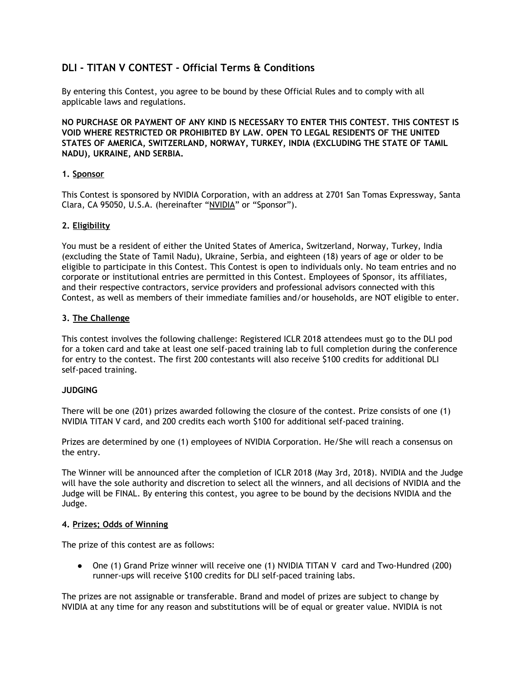# **DLI - TITAN V CONTEST - Official Terms & Conditions**

By entering this Contest, you agree to be bound by these Official Rules and to comply with all applicable laws and regulations.

**NO PURCHASE OR PAYMENT OF ANY KIND IS NECESSARY TO ENTER THIS CONTEST. THIS CONTEST IS VOID WHERE RESTRICTED OR PROHIBITED BY LAW. OPEN TO LEGAL RESIDENTS OF THE UNITED STATES OF AMERICA, SWITZERLAND, NORWAY, TURKEY, INDIA (EXCLUDING THE STATE OF TAMIL NADU), UKRAINE, AND SERBIA.**

#### **1. Sponsor**

This Contest is sponsored by NVIDIA Corporation, with an address at 2701 San Tomas Expressway, Santa Clara, CA 95050, U.S.A. (hereinafter "NVIDIA" or "Sponsor").

#### **2. Eligibility**

You must be a resident of either the United States of America, Switzerland, Norway, Turkey, India (excluding the State of Tamil Nadu), Ukraine, Serbia, and eighteen (18) years of age or older to be eligible to participate in this Contest. This Contest is open to individuals only. No team entries and no corporate or institutional entries are permitted in this Contest. Employees of Sponsor, its affiliates, and their respective contractors, service providers and professional advisors connected with this Contest, as well as members of their immediate families and/or households, are NOT eligible to enter.

#### **3. The Challenge**

This contest involves the following challenge: Registered ICLR 2018 attendees must go to the DLI pod for a token card and take at least one self-paced training lab to full completion during the conference for entry to the contest. The first 200 contestants will also receive \$100 credits for additional DLI self-paced training.

## **JUDGING**

There will be one (201) prizes awarded following the closure of the contest. Prize consists of one (1) NVIDIA TITAN V card, and 200 credits each worth \$100 for additional self-paced training.

Prizes are determined by one (1) employees of NVIDIA Corporation. He/She will reach a consensus on the entry.

The Winner will be announced after the completion of ICLR 2018 (May 3rd, 2018). NVIDIA and the Judge will have the sole authority and discretion to select all the winners, and all decisions of NVIDIA and the Judge will be FINAL. By entering this contest, you agree to be bound by the decisions NVIDIA and the Judge.

#### **4. Prizes; Odds of Winning**

The prize of this contest are as follows:

● One (1) Grand Prize winner will receive one (1) NVIDIA TITAN V card and Two-Hundred (200) runner-ups will receive \$100 credits for DLI self-paced training labs.

The prizes are not assignable or transferable. Brand and model of prizes are subject to change by NVIDIA at any time for any reason and substitutions will be of equal or greater value. NVIDIA is not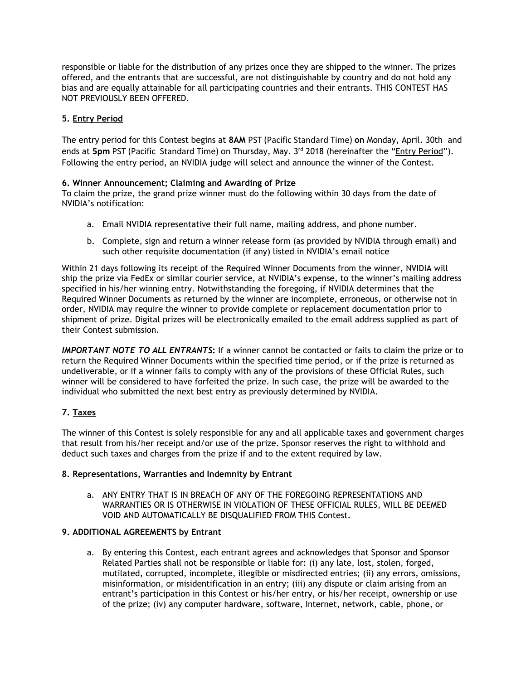responsible or liable for the distribution of any prizes once they are shipped to the winner. The prizes offered, and the entrants that are successful, are not distinguishable by country and do not hold any bias and are equally attainable for all participating countries and their entrants. THIS CONTEST HAS NOT PREVIOUSLY BEEN OFFERED.

# **5. Entry Period**

The entry period for this Contest begins at **8AM** PST (Pacific Standard Time) **on** Monday, April. 30th and ends at **5pm** PST (Pacific Standard Time) on Thursday, May. 3<sup>rd</sup> 2018 (hereinafter the "<u>Entry Period</u>"). Following the entry period, an NVIDIA judge will select and announce the winner of the Contest.

## **6. Winner Announcement; Claiming and Awarding of Prize**

To claim the prize, the grand prize winner must do the following within 30 days from the date of NVIDIA's notification:

- a. Email NVIDIA representative their full name, mailing address, and phone number.
- b. Complete, sign and return a winner release form (as provided by NVIDIA through email) and such other requisite documentation (if any) listed in NVIDIA's email notice

Within 21 days following its receipt of the Required Winner Documents from the winner, NVIDIA will ship the prize via FedEx or similar courier service, at NVIDIA's expense, to the winner's mailing address specified in his/her winning entry. Notwithstanding the foregoing, if NVIDIA determines that the Required Winner Documents as returned by the winner are incomplete, erroneous, or otherwise not in order, NVIDIA may require the winner to provide complete or replacement documentation prior to shipment of prize. Digital prizes will be electronically emailed to the email address supplied as part of their Contest submission.

*IMPORTANT NOTE TO ALL ENTRANTS***:** If a winner cannot be contacted or fails to claim the prize or to return the Required Winner Documents within the specified time period, or if the prize is returned as undeliverable, or if a winner fails to comply with any of the provisions of these Official Rules, such winner will be considered to have forfeited the prize. In such case, the prize will be awarded to the individual who submitted the next best entry as previously determined by NVIDIA.

# **7. Taxes**

The winner of this Contest is solely responsible for any and all applicable taxes and government charges that result from his/her receipt and/or use of the prize. Sponsor reserves the right to withhold and deduct such taxes and charges from the prize if and to the extent required by law.

## **8. Representations, Warranties and Indemnity by Entrant**

a. ANY ENTRY THAT IS IN BREACH OF ANY OF THE FOREGOING REPRESENTATIONS AND WARRANTIES OR IS OTHERWISE IN VIOLATION OF THESE OFFICIAL RULES, WILL BE DEEMED VOID AND AUTOMATICALLY BE DISQUALIFIED FROM THIS Contest.

## **9. ADDITIONAL AGREEMENTS by Entrant**

a. By entering this Contest, each entrant agrees and acknowledges that Sponsor and Sponsor Related Parties shall not be responsible or liable for: (i) any late, lost, stolen, forged, mutilated, corrupted, incomplete, illegible or misdirected entries; (ii) any errors, omissions, misinformation, or misidentification in an entry; (iii) any dispute or claim arising from an entrant's participation in this Contest or his/her entry, or his/her receipt, ownership or use of the prize; (iv) any computer hardware, software, Internet, network, cable, phone, or